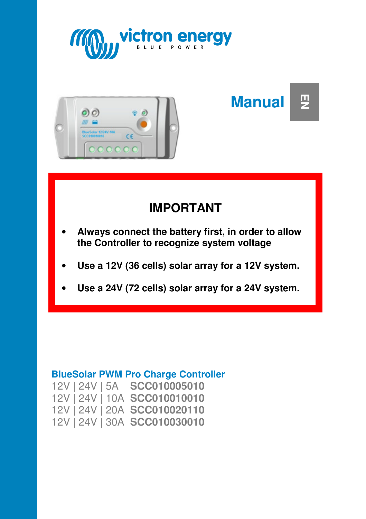



**Manual EN** 

# **IMPORTANT**

- **Always connect the battery first, in order to allow the Controller to recognize system voltage**
- **Use a 12V (36 cells) solar array for a 12V system.**
- **Use a 24V (72 cells) solar array for a 24V system.**

#### **BlueSolar PWM Pro Charge Controller**

|  | 12V   24V   5A SCC010005010  |
|--|------------------------------|
|  | 12V 24V 10A SCC010010010     |
|  | 12V   24V   20A SCC010020110 |
|  | 12V   24V   30A SCC010030010 |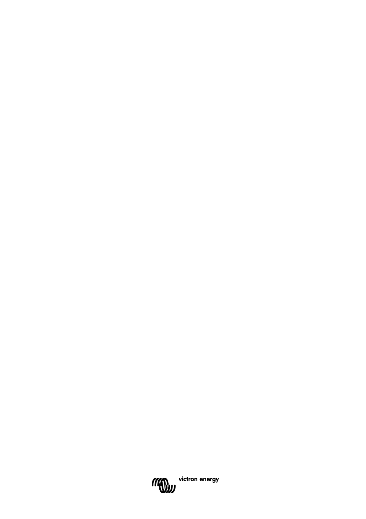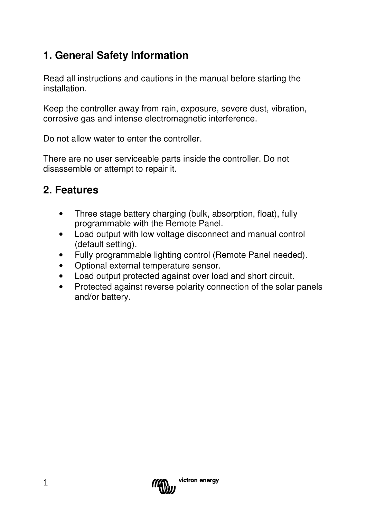### **1. General Safety Information**

Read all instructions and cautions in the manual before starting the installation.

Keep the controller away from rain, exposure, severe dust, vibration, corrosive gas and intense electromagnetic interference.

Do not allow water to enter the controller.

There are no user serviceable parts inside the controller. Do not disassemble or attempt to repair it.

### **2. Features**

- Three stage battery charging (bulk, absorption, float), fully programmable with the Remote Panel.
- Load output with low voltage disconnect and manual control (default setting).
- Fully programmable lighting control (Remote Panel needed).
- Optional external temperature sensor.
- Load output protected against over load and short circuit.
- Protected against reverse polarity connection of the solar panels and/or battery.

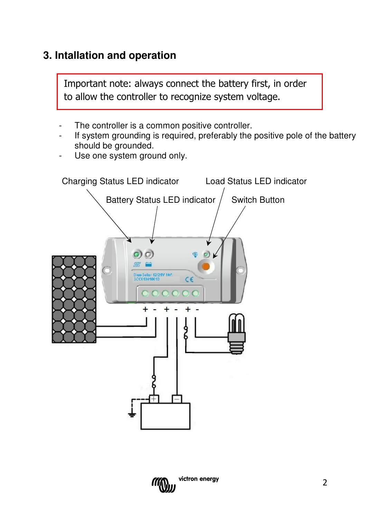### **3. Intallation and operation**

Important note: always connect the battery first, in order to allow the controller to recognize system voltage.

- The controller is a common positive controller.
- If system grounding is required, preferably the positive pole of the battery should be grounded.
- Use one system ground only.



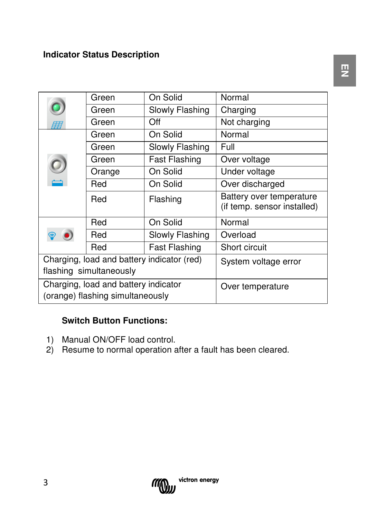#### **Indicator Status Description**

|                                                                          | Green  | On Solid             | Normal                                                  |
|--------------------------------------------------------------------------|--------|----------------------|---------------------------------------------------------|
|                                                                          | Green  | Slowly Flashing      | Charging                                                |
| 历                                                                        | Green  | Off                  | Not charging                                            |
|                                                                          | Green  | On Solid             | Normal                                                  |
|                                                                          | Green  | Slowly Flashing      | Full                                                    |
|                                                                          | Green  | Fast Flashing        | Over voltage                                            |
|                                                                          | Orange | On Solid             | Under voltage                                           |
|                                                                          | Red    | On Solid             | Over discharged                                         |
|                                                                          | Red    | Flashing             | Battery over temperature<br>(if temp. sensor installed) |
|                                                                          | Red    | On Solid             | Normal                                                  |
|                                                                          | Red    | Slowly Flashing      | Overload                                                |
|                                                                          | Red    | <b>Fast Flashing</b> | Short circuit                                           |
| Charging, load and battery indicator (red)                               |        |                      | System voltage error                                    |
| flashing simultaneously                                                  |        |                      |                                                         |
| Charging, load and battery indicator<br>(orange) flashing simultaneously |        |                      | Over temperature                                        |

#### **Switch Button Functions:**

- 1) Manual ON/OFF load control.
- 2) Resume to normal operation after a fault has been cleared.

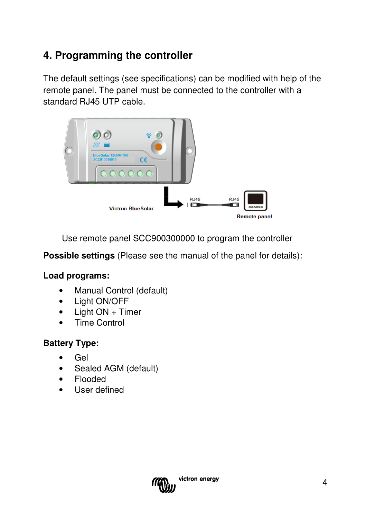### **4. Programming the controller**

The default settings (see specifications) can be modified with help of the remote panel. The panel must be connected to the controller with a standard RJ45 UTP cable.



Use remote panel SCC900300000 to program the controller

**Possible settings** (Please see the manual of the panel for details):

#### **Load programs:**

- Manual Control (default)
- Light ON/OFF
- Light ON + Timer
- Time Control

#### **Battery Type:**

- Gel
- Sealed AGM (default)
- Flooded
- User defined

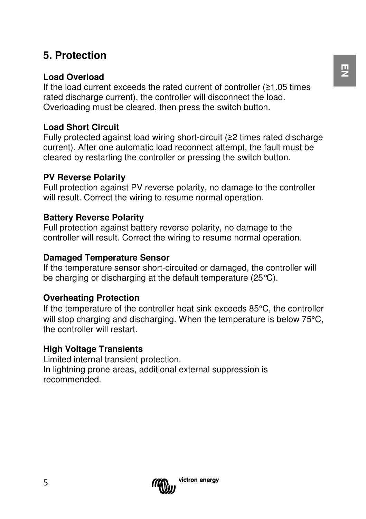### **5. Protection**

#### **Load Overload**

If the load current exceeds the rated current of controller (≥1.05 times rated discharge current), the controller will disconnect the load. Overloading must be cleared, then press the switch button.

#### **Load Short Circuit**

Fully protected against load wiring short-circuit (≥2 times rated discharge current). After one automatic load reconnect attempt, the fault must be cleared by restarting the controller or pressing the switch button.

#### **PV Reverse Polarity**

Full protection against PV reverse polarity, no damage to the controller will result. Correct the wiring to resume normal operation.

#### **Battery Reverse Polarity**

Full protection against battery reverse polarity, no damage to the controller will result. Correct the wiring to resume normal operation.

#### **Damaged Temperature Sensor**

If the temperature sensor short-circuited or damaged, the controller will be charging or discharging at the default temperature (25°C).

#### **Overheating Protection**

If the temperature of the controller heat sink exceeds 85°C, the controller will stop charging and discharging. When the temperature is below 75<sup>o</sup>C, the controller will restart.

#### **High Voltage Transients**

Limited internal transient protection. In lightning prone areas, additional external suppression is recommended.

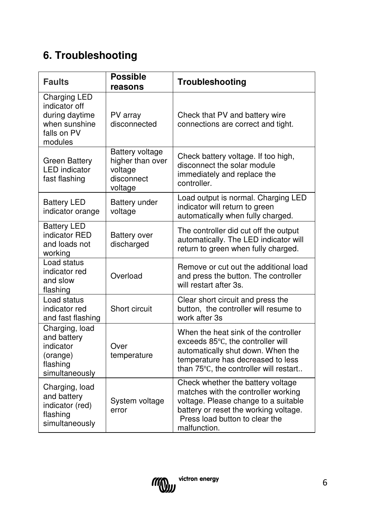## **6. Troubleshooting**

| <b>Faults</b>                                                                              | <b>Possible</b><br>reasons                                              | Troubleshooting                                                                                                                                                                                             |  |  |
|--------------------------------------------------------------------------------------------|-------------------------------------------------------------------------|-------------------------------------------------------------------------------------------------------------------------------------------------------------------------------------------------------------|--|--|
| Charging LED<br>indicator off<br>during daytime<br>when sunshine<br>falls on PV<br>modules | PV array<br>disconnected                                                | Check that PV and battery wire<br>connections are correct and tight.                                                                                                                                        |  |  |
| <b>Green Battery</b><br><b>LED</b> indicator<br>fast flashing                              | Battery voltage<br>higher than over<br>voltage<br>disconnect<br>voltage | Check battery voltage. If too high,<br>disconnect the solar module<br>immediately and replace the<br>controller.                                                                                            |  |  |
| <b>Battery LED</b><br>indicator orange                                                     | Battery under<br>voltage                                                | Load output is normal. Charging LED<br>indicator will return to green<br>automatically when fully charged.                                                                                                  |  |  |
| <b>Battery LED</b><br>indicator RED<br>and loads not<br>working                            | <b>Battery over</b><br>discharged                                       | The controller did cut off the output<br>automatically. The LED indicator will<br>return to green when fully charged.                                                                                       |  |  |
| Load status<br>indicator red<br>and slow<br>flashing                                       | Overload                                                                | Remove or cut out the additional load<br>and press the button. The controller<br>will restart after 3s.                                                                                                     |  |  |
| Load status<br>indicator red<br>and fast flashing                                          | Short circuit                                                           | Clear short circuit and press the<br>button, the controller will resume to<br>work after 3s                                                                                                                 |  |  |
| Charging, load<br>and battery<br>indicator<br>(orange)<br>flashing<br>simultaneously       | Over<br>temperature                                                     | When the heat sink of the controller<br>exceeds 85°C, the controller will<br>automatically shut down. When the<br>temperature has decreased to less<br>than 75°C, the controller will restart               |  |  |
| Charging, load<br>and battery<br>indicator (red)<br>flashing<br>simultaneously             | System voltage<br>error                                                 | Check whether the battery voltage<br>matches with the controller working<br>voltage. Please change to a suitable<br>battery or reset the working voltage.<br>Press load button to clear the<br>malfunction. |  |  |

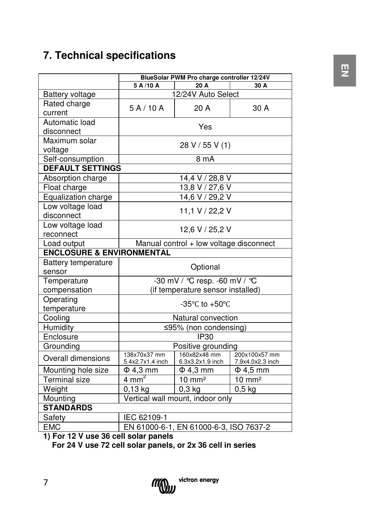### **7. Technical specifications**

|                                                        | BlueSolar PWM Pro charge controller 12/24V           |                                  |                                   |  |  |
|--------------------------------------------------------|------------------------------------------------------|----------------------------------|-----------------------------------|--|--|
|                                                        | 5 A /10 A<br>20 A<br>30 A                            |                                  |                                   |  |  |
| <b>Battery voltage</b>                                 | 12/24V Auto Select                                   |                                  |                                   |  |  |
| Rated charge                                           | 5A/10A                                               | 20 A                             | 30 A                              |  |  |
| current                                                |                                                      |                                  |                                   |  |  |
| Automatic load                                         | Yes                                                  |                                  |                                   |  |  |
| disconnect                                             |                                                      |                                  |                                   |  |  |
| Maximum solar                                          | 28 V / 55 V (1)                                      |                                  |                                   |  |  |
| voltage                                                |                                                      |                                  |                                   |  |  |
| Self-consumption                                       | 8 mA                                                 |                                  |                                   |  |  |
| <b>DEFAULT SETTINGS</b>                                |                                                      |                                  |                                   |  |  |
| Absorption charge                                      |                                                      | $14,4$ V / 28,8 V                |                                   |  |  |
| Float charge                                           |                                                      | 13,8 V / 27,6 V                  |                                   |  |  |
| Equalization charge                                    | 14,6 V / 29,2 V                                      |                                  |                                   |  |  |
| Low voltage load                                       |                                                      | 11,1 V / 22,2 V                  |                                   |  |  |
| disconnect                                             |                                                      |                                  |                                   |  |  |
| Low voltage load                                       | 12,6 V / 25,2 V                                      |                                  |                                   |  |  |
| reconnect                                              |                                                      |                                  |                                   |  |  |
| Manual control + low voltage disconnect<br>Load output |                                                      |                                  |                                   |  |  |
| <b>ENCLOSURE &amp; ENVIRONMENTAL</b>                   |                                                      |                                  |                                   |  |  |
| <b>Battery temperature</b>                             | Optional                                             |                                  |                                   |  |  |
| sensor                                                 |                                                      |                                  |                                   |  |  |
| Temperature                                            | -30 mV / °C resp. -60 mV / °C                        |                                  |                                   |  |  |
| compensation                                           | (if temperature sensor installed)                    |                                  |                                   |  |  |
| Operating                                              | -35 $\mathrm{^{\circ}C}$ to +50 $\mathrm{^{\circ}C}$ |                                  |                                   |  |  |
| temperature                                            |                                                      |                                  |                                   |  |  |
| Cooling                                                | Natural convection                                   |                                  |                                   |  |  |
| Humidity                                               | ≤95% (non condensing)                                |                                  |                                   |  |  |
| Enclosure                                              | $\overline{IP30}$                                    |                                  |                                   |  |  |
| Grounding                                              | Positive grounding                                   |                                  |                                   |  |  |
| Overall dimensions                                     | 138x70x37 mm<br>5.4x2.7x1.4 inch                     | 160x82x48 mm<br>6.3x3.2x1.9 inch | 200x100x57 mm<br>7.9x4.0x2.3 inch |  |  |
| Mounting hole size                                     | $\Phi$ 4,3 mm                                        | $\Phi$ 4,3 mm                    | $\Phi$ 4.5 mm                     |  |  |
| <b>Terminal size</b>                                   | $4 \text{ mm}^2$                                     | $10 \text{ mm}^2$                | $10 \text{ mm}^2$                 |  |  |
| Weight                                                 | $0,3$ kg<br>0,13 kg                                  |                                  | $0,5$ kg                          |  |  |
| Mounting                                               | Vertical wall mount, indoor only                     |                                  |                                   |  |  |
| <b>STANDARDS</b>                                       |                                                      |                                  |                                   |  |  |
| Safety                                                 | IEC 62109-1                                          |                                  |                                   |  |  |
| <b>EMC</b>                                             | EN 61000-6-1, EN 61000-6-3, ISO 7637-2               |                                  |                                   |  |  |
| 43 F.<br>1011                                          |                                                      |                                  |                                   |  |  |

**1) For 12 V use 36 cell solar panels** 

 **For 24 V use 72 cell solar panels, or 2x 36 cell in series**

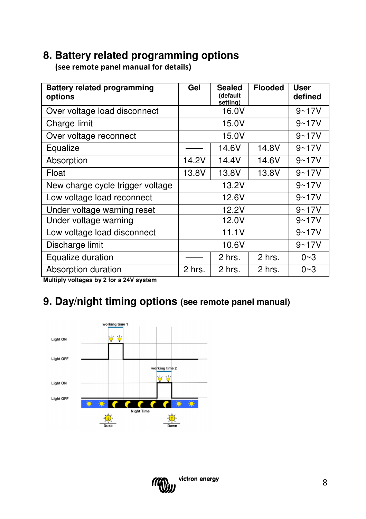### **8. Battery related programming options**

(see remote panel manual for details)

| <b>Battery related programming</b><br>options | Gel    | <b>Sealed</b><br>(default<br>setting) | <b>Flooded</b> | User<br>defined |
|-----------------------------------------------|--------|---------------------------------------|----------------|-----------------|
| Over voltage load disconnect                  |        | 16.0V                                 |                | $9 - 17V$       |
| Charge limit                                  |        | 15.0V                                 |                | $9 - 17V$       |
| Over voltage reconnect                        |        | 15.0V                                 |                | $9 - 17V$       |
| Equalize                                      |        | 14.6V                                 | 14.8V          | $9 - 17V$       |
| Absorption                                    | 14.2V  | 14.4V                                 | 14.6V          | $9 - 17V$       |
| Float                                         | 13.8V  | 13.8V                                 | 13.8V          | $9 - 17V$       |
| New charge cycle trigger voltage              |        | 13.2V                                 |                | $9 - 17V$       |
| Low voltage load reconnect                    |        | 12.6V                                 |                | $9 - 17V$       |
| Under voltage warning reset                   |        | 12.2V                                 |                | $9 - 17V$       |
| Under voltage warning                         |        | 12.0V                                 |                | $9 - 17V$       |
| Low voltage load disconnect                   |        | 11.1V                                 |                | $9 - 17V$       |
| Discharge limit                               |        | 10.6V                                 |                | $9 - 17V$       |
| Equalize duration                             |        | 2 hrs.                                | 2 hrs.         | $0 - 3$         |
| Absorption duration                           | 2 hrs. | 2 hrs.                                | 2 hrs.         | $0 - 3$         |

**Multiply voltages by 2 for a 24V system** 

### **9. Day/night timing options (see remote panel manual)**